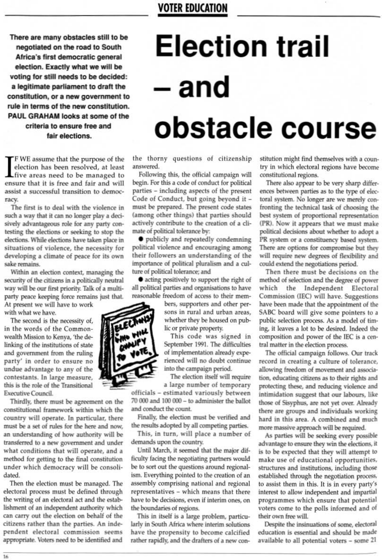There are many obstacles still to be negotiated on the road to South Africa's first democratic general election. Exactly what we will be voting for still needs to be decided: a legitimate parliament to draft the constitution, or a new government to rule in terms of the new constitution. PAUL GRAHAM looks at some of the criteria to ensure free and fair elections.

## **Election trail** - and obstacle course

F WE assume that the purpose of the election has been resolved, at least Live areas need to be managed to ensure that it is free and fair and will assist a successful transition to democracy.

The first is to deal with the violence in such a way that it can no longer play a decisively advantageous role for any party contesting the elections or seeking to stop the elections. While elections have taken place in situations of violence, the necessity for developing a climate of peace for its own sake remains.

Within an election context, managing the security of the citizens in a politically neutral way will be our first priority. Talk of a multiparty peace keeping force remains just that.

At present we will have to work with what we have.

The second is the necessity of, in the words of the Commonwealth Mission to Kenya, 'the delinking of the institutions of state and government from the ruling party' in order to ensure no undue advantage to any of the contestants. In large measure, this is the role of the Transitional **Executive Council.** 

Thirdly, there must be agreement on the constitutional framework within which the country will operate. In particular, there must be a set of rules for the here and now, an understanding of how authority will be transferred to a new government and under what conditions that will operate, and a method for getting to the final constitution under which democracy will be consolidated. Then the election must be managed. The electoral process must be defined through the writing of an electoral act and the establishment of an independent authority which can carry out the election on behalf of the citizens rather than the parties. An independent electoral commission seems appropriate. Voters need to be identified and

the thorny questions of citizenship answered.

Following this, the official campaign will begin. For this a code of conduct for political parties - including aspects of the present Code of Conduct, but going beyond it must be prepared. The present code states (among other things) that parties should actively contribute to the creation of a climate of political tolerance by:

 $\bullet$  publicly and repeatedly condemning political violence and encouraging among their followers an understanding of the importance of political pluralism and a culture of political tolerance; and

• acting positively to support the right of all political parties and organisations to have reasonable freedom of access to their mem-

bers, supporters and other persons in rural and urban areas, whether they be housed on public or private property.

This code was signed in September 1991. The difficulties of implementation already experienced will no doubt continue into the campaign period.

The election itself will require a large number of temporary

officials - estimated variously between 70 000 and 100 000 - to administer the ballot and conduct the count.

Finally, the election must be verified and the results adopted by all competing parties. This, in turn, will place a number of demands upon the country. Until March, it seemed that the major difficulty facing the negotiating partners would be to sort out the questions around regionalism. Everything pointed to the creation of an assembly comprising national and regional representatives - which means that there have to be decisions, even if interim ones, on the boundaries of regions. This in itself is a large problem, particularly in South Africa where interim solutions have the propensity to become calcified rather rapidly, and the drafters of a new constitution might find themselves with a country in which electoral regions have become constitutional regions.

There also appear to be very sharp differences between parties as to the type of electoral system. No longer are we merely confronting the technical task of choosing the best system of proportional representation (PR). Now it appears that we must make political decisions about whether to adopt a PR system or a constituency based system. There are options for compromise but they will require new degrees of flexibility and could extend the negotiations period.

Then there must be decisions on the method of selection and the degree of power which the Independent Electoral Commission (IEC) will have. Suggestions have been made that the appointment of the SABC board will give some pointers to a public selection process. As a model of timing, it leaves a lot to be desired. Indeed the composition and power of the IEC is a central matter in the election process.

The official campaign follows. Our track record in creating a culture of tolerance, allowing freedom of movement and association, educating citizens as to their rights and protecting these, and reducing violence and intimidation suggest that our labours, like those of Sisyphus, are not yet over. Already there are groups and individuals working hard in this area. A combined and much



more massive approach will be required.

As parties will be seeking every possible advantage to ensure they win the elections, it is to be expected that they will attempt to make use of educational opportunities, structures and institutions, including those established through the negotiation process, to assist them in this. It is in every party's interest to allow independent and impartial programmes which ensure that potential voters come to the polls informed and of their own free will.

Despite the insinuations of some, electoral education is essential and should be made available to all potential voters - some 21